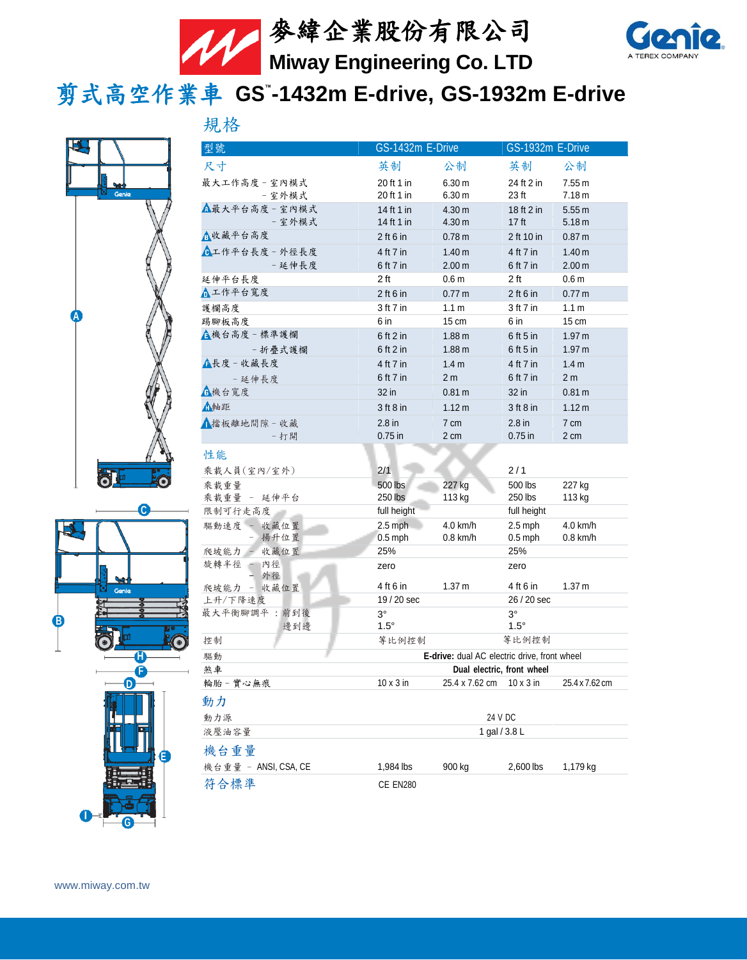



剪式高空作業車 **GS™ -1432m E-drive, GS-1932m E-drive**



| ł | ۶                     |        |
|---|-----------------------|--------|
|   |                       |        |
| ī |                       |        |
|   | Genie                 |        |
|   | U<br>$\frac{1}{10}$   |        |
| B | J                     | J<br>Œ |
|   | Ĥ<br>ŀ<br>F           |        |
|   | ł                     |        |
| I | O<br>E<br>ł<br>ţ<br>1 | Θ      |

| 規格                       |                                                                                   |                   |                                |                   |
|--------------------------|-----------------------------------------------------------------------------------|-------------------|--------------------------------|-------------------|
| 型號                       | GS-1432m E-Drive                                                                  |                   | GS-1932m E-Drive               |                   |
| 尺寸                       | 英制                                                                                | 公制                | 英制                             | 公制                |
| 最大工作高度 - 室內模式            | 20 ft 1 in                                                                        | 6.30 <sub>m</sub> | 24 ft 2 in                     | 7.55 m            |
| - 室外模式                   | 20 ft 1 in                                                                        | 6.30 <sub>m</sub> | 23 <sub>ft</sub>               | 7.18 m            |
| △最大平台高度 - 室內模式<br>- 室外模式 | 14 ft 1 in<br>14 ft 1 in                                                          | 4.30 m<br>4.30 m  | 18 ft 2 in<br>17 <sub>ft</sub> | 5.55m<br>5.18 m   |
| △收藏平台高度                  | $2$ ft 6 in                                                                       | 0.78 <sub>m</sub> | 2 ft 10 in                     | 0.87 <sub>m</sub> |
| ■工作平台長度 - 外徑長度           | 4 ft 7 in                                                                         | 1.40 <sub>m</sub> | 4 ft 7 in                      | 1.40 <sub>m</sub> |
| - 延伸長度                   | 6 ft 7 in                                                                         | 2.00 m            | 6 ft 7 in                      | 2.00 <sub>m</sub> |
| 延伸平台長度                   | 2 <sub>ft</sub>                                                                   | 0.6 <sub>m</sub>  | 2 <sub>ft</sub>                | 0.6 <sub>m</sub>  |
| ▲工作平台寬度                  | $2$ ft 6 in                                                                       | 0.77 m            | $2$ ft 6 in                    | 0.77 <sub>m</sub> |
| 護欄高度                     | 3 ft 7 in                                                                         | 1.1 <sub>m</sub>  | 3 ft 7 in                      | 1.1 <sub>m</sub>  |
| 踢腳板高度                    | 6 in                                                                              | 15 cm             | 6 in                           | $15 \text{ cm}$   |
| ▲機台高度-標準護欄               | $6$ ft 2 in                                                                       | 1.88 <sub>m</sub> | 6 ft 5 in                      | 1.97 m            |
| - 折疊式護欄                  | $6$ ft 2 in                                                                       | 1.88 <sub>m</sub> | $6$ ft 5 in                    | 1.97 <sub>m</sub> |
| ▲長度 - 收藏長度               | 4 ft 7 in                                                                         | 1.4 <sub>m</sub>  | 4 ft 7 in                      | 1.4 <sub>m</sub>  |
| - 延伸長度                   | 6 ft 7 in                                                                         | 2 <sub>m</sub>    | 6 ft 7 in                      | 2 <sub>m</sub>    |
| 日機台寬度                    | 32 in                                                                             | 0.81 m            | 32 in                          | 0.81 m            |
| ▲軸距                      | $3$ ft $8$ in                                                                     | 1.12 m            | $3$ ft $8$ in                  | 1.12 m            |
| ▲擋板離地間隙 - 收藏             | $2.8$ in                                                                          | 7 cm              | $2.8$ in                       | 7 cm              |
| - 打開                     | $0.75$ in                                                                         | 2 cm              | $0.75$ in                      | 2 cm              |
| 性能                       |                                                                                   |                   |                                |                   |
| 乘載人員(室內/室外)              | 2/1                                                                               |                   | 2/1                            |                   |
| 乘載重量                     | 500 lbs                                                                           | 227 kg            | 500 lbs                        | 227 kg            |
| 乘載重量 - 延伸平台              | 250 lbs                                                                           | 113 kg            | 250 lbs                        | 113 kg            |
| 限制可行走高度<br>驅動速度 - 收藏位置   | full height<br>$2.5$ mph                                                          | 4.0 km/h          | full height<br>$2.5$ mph       | 4.0 km/h          |
| - 揚升位置                   | $0.5$ mph                                                                         | $0.8$ km/h        | $0.5$ mph                      | 0.8 km/h          |
| - 收藏位置<br>爬坡能力           | 25%                                                                               |                   | 25%                            |                   |
| 旋轉半徑<br>內徑<br>外徑         | zero                                                                              |                   | zero                           |                   |
| - 收藏位置<br>爬坡能力           | 4 ft 6 in                                                                         | 1.37 <sub>m</sub> | 4 ft 6 in                      | 1.37 m            |
| 上升/下降速度                  | 19 / 20 sec                                                                       |                   | 26 / 20 sec                    |                   |
| 最大平衡腳調平:前到後              | $3^\circ$                                                                         |                   | $3^{\circ}$                    |                   |
| 邊到邊                      | $1.5^\circ$                                                                       |                   | $1.5^\circ$                    |                   |
| 控制                       | 等比例控制<br>等比例控制                                                                    |                   |                                |                   |
| 驅動<br>煞車                 | <b>E-drive:</b> dual AC electric drive, front wheel<br>Dual electric, front wheel |                   |                                |                   |
| 輪胎 - 實心無痕                | $10 \times 3$ in                                                                  | 25.4 x 7.62 cm    | $10 \times 3$ in               | 25.4 x 7.62 cm    |
|                          |                                                                                   |                   |                                |                   |
| 動力                       |                                                                                   |                   |                                |                   |
| 動力源<br>液壓油容量             | 24 V DC<br>1 gal / 3.8 L                                                          |                   |                                |                   |
|                          |                                                                                   |                   |                                |                   |
| 機台重量                     |                                                                                   |                   |                                |                   |
| 機台重量 - ANSI, CSA, CE     | 1,984 lbs                                                                         | 900 kg            | 2,600 lbs                      | 1,179 kg          |
| 符合標準                     | CE EN280                                                                          |                   |                                |                   |